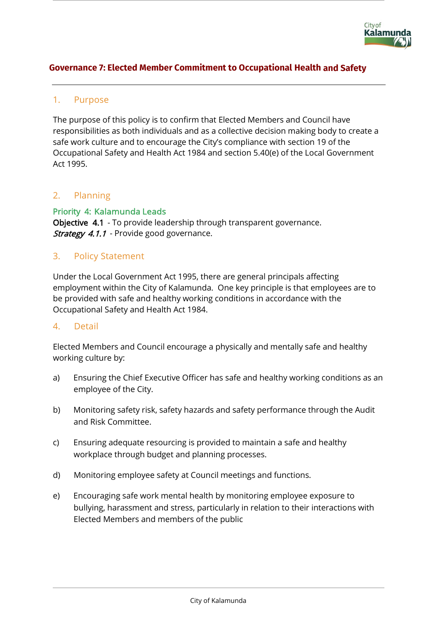

## **Governance 7: Elected Member Commitment to Occupational Health and Safety**

### 1. Purpose

The purpose of this policy is to confirm that Elected Members and Council have responsibilities as both individuals and as a collective decision making body to create a safe work culture and to encourage the City's compliance with section 19 of the Occupational Safety and Health Act 1984 and section 5.40(e) of the Local Government Act 1995.

### 2. Planning

Priority 4: Kalamunda Leads Objective 4.1 - To provide leadership through transparent governance. **Strategy 4.1.1** - Provide good governance.

## 3. Policy Statement

Under the Local Government Act 1995, there are general principals affecting employment within the City of Kalamunda. One key principle is that employees are to be provided with safe and healthy working conditions in accordance with the Occupational Safety and Health Act 1984.

#### 4. Detail

Elected Members and Council encourage a physically and mentally safe and healthy working culture by:

- a) Ensuring the Chief Executive Officer has safe and healthy working conditions as an employee of the City.
- b) Monitoring safety risk, safety hazards and safety performance through the Audit and Risk Committee.
- c) Ensuring adequate resourcing is provided to maintain a safe and healthy workplace through budget and planning processes.
- d) Monitoring employee safety at Council meetings and functions.
- e) Encouraging safe work mental health by monitoring employee exposure to bullying, harassment and stress, particularly in relation to their interactions with Elected Members and members of the public